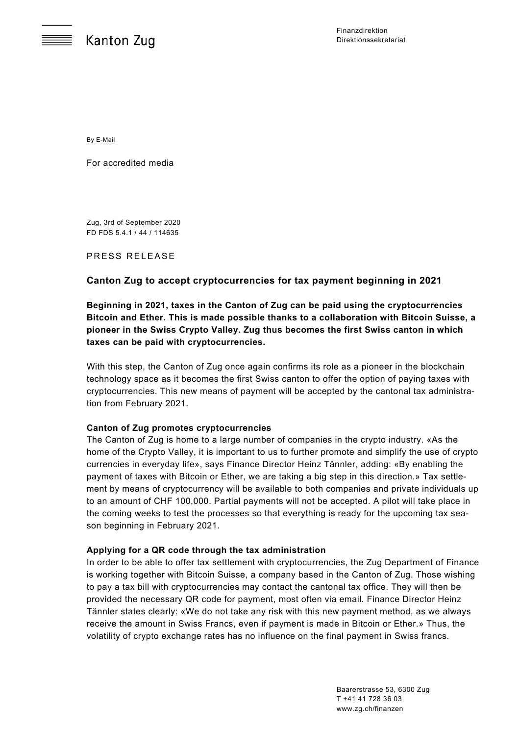By E-Mail

For accredited media

Zug, 3rd of September 2020 FD FDS 5.4.1 / 44 / 114635

PRESS RELEASE

# **Canton Zug to accept cryptocurrencies for tax payment beginning in 2021**

**Beginning in 2021, taxes in the Canton of Zug can be paid using the cryptocurrencies Bitcoin and Ether. This is made possible thanks to a collaboration with Bitcoin Suisse, a pioneer in the Swiss Crypto Valley. Zug thus becomes the first Swiss canton in which taxes can be paid with cryptocurrencies.** 

With this step, the Canton of Zug once again confirms its role as a pioneer in the blockchain technology space as it becomes the first Swiss canton to offer the option of paying taxes with cryptocurrencies. This new means of payment will be accepted by the cantonal tax administration from February 2021.

### **Canton of Zug promotes cryptocurrencies**

The Canton of Zug is home to a large number of companies in the crypto industry. «As the home of the Crypto Valley, it is important to us to further promote and simplify the use of crypto currencies in everyday life», says Finance Director Heinz Tännler, adding: «By enabling the payment of taxes with Bitcoin or Ether, we are taking a big step in this direction.» Tax settlement by means of cryptocurrency will be available to both companies and private individuals up to an amount of CHF 100,000. Partial payments will not be accepted. A pilot will take place in the coming weeks to test the processes so that everything is ready for the upcoming tax season beginning in February 2021.

### **Applying for a QR code through the tax administration**

In order to be able to offer tax settlement with cryptocurrencies, the Zug Department of Finance is working together with Bitcoin Suisse, a company based in the Canton of Zug. Those wishing to pay a tax bill with cryptocurrencies may contact the cantonal tax office. They will then be provided the necessary QR code for payment, most often via email. Finance Director Heinz Tännler states clearly: «We do not take any risk with this new payment method, as we always receive the amount in Swiss Francs, even if payment is made in Bitcoin or Ether.» Thus, the volatility of crypto exchange rates has no influence on the final payment in Swiss francs.

> Baarerstrasse 53, 6300 Zug T +41 41 728 36 03 www.zg.ch/finanzen